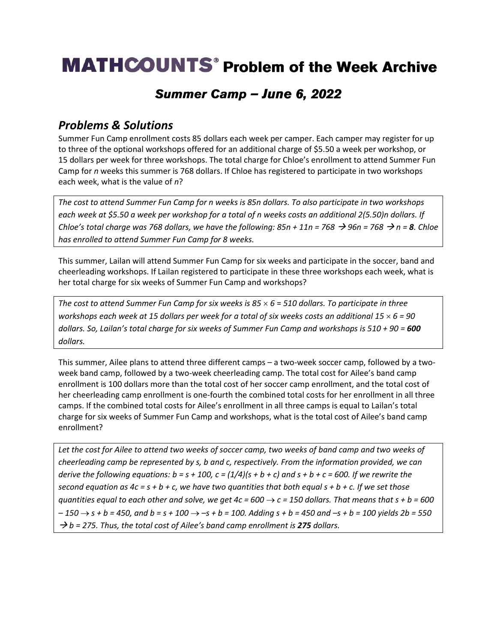# **MATHCOUNTS**<sup>®</sup> Problem of the Week Archive

### Summer Camp - June 6, 2022

#### *Problems & Solutions*

Summer Fun Camp enrollment costs 85 dollars each week per camper. Each camper may register for up to three of the optional workshops offered for an additional charge of \$5.50 a week per workshop, or 15 dollars per week for three workshops. The total charge for Chloe's enrollment to attend Summer Fun Camp for *n* weeks this summer is 768 dollars. If Chloe has registered to participate in two workshops each week, what is the value of *n*?

*The cost to attend Summer Fun Camp for n weeks is 85n dollars. To also participate in two workshops each week at \$5.50 a week per workshop for a total of n weeks costs an additional 2(5.50)n dollars. If Chloe's total charge was 768 dollars, we have the following:*  $85n + 11n = 768 \rightarrow 96n = 768 \rightarrow n = 8$ *. Chloe has enrolled to attend Summer Fun Camp for 8 weeks.*

This summer, Lailan will attend Summer Fun Camp for six weeks and participate in the soccer, band and cheerleading workshops. If Lailan registered to participate in these three workshops each week, what is her total charge for six weeks of Summer Fun Camp and workshops?

*The cost to attend Summer Fun Camp for six weeks is 85 6* = *510 dollars. To participate in three workshops each week at 15 dollars per week for a total of six weeks costs an additional 15 6 = 90 dollars. So, Lailan's total charge for six weeks of Summer Fun Camp and workshops is 510 + 90 = 600 dollars.*

This summer, Ailee plans to attend three different camps – a two-week soccer camp, followed by a twoweek band camp, followed by a two-week cheerleading camp. The total cost for Ailee's band camp enrollment is 100 dollars more than the total cost of her soccer camp enrollment, and the total cost of her cheerleading camp enrollment is one-fourth the combined total costs for her enrollment in all three camps. If the combined total costs for Ailee's enrollment in all three camps is equal to Lailan's total charge for six weeks of Summer Fun Camp and workshops, what is the total cost of Ailee's band camp enrollment?

*Let the cost for Ailee to attend two weeks of soccer camp, two weeks of band camp and two weeks of cheerleading camp be represented by s, b and c, respectively. From the information provided, we can derive the following equations:*  $b = s + 100$ ,  $c = (1/4)(s + b + c)$  and  $s + b + c = 600$ . If we rewrite the *second equation as*  $4c = s + b + c$ *, we have two quantities that both equal*  $s + b + c$ *. If we set those guantities equal to each other and solve, we get*  $4c = 600 \rightarrow c = 150$  *dollars. That means that s + b = 600 – 150* → *s + b = 450, and b = s + 100* → *–s + b = 100. Adding s + b = 450 and –s + b = 100 yields 2b = 550*  → *b = 275. Thus, the total cost of Ailee's band camp enrollment is 275 dollars.*